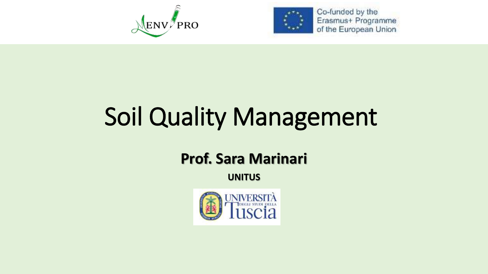



Co-funded by the Erasmus+ Programme of the European Union

# Soil Quality Management

### **Prof. Sara Marinari**

**UNITUS**

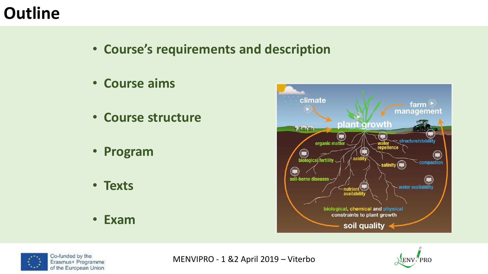### **Outline**

- **Course's requirements and description**
- **Course aims**
- **Course structure**
- **Program**
- **Texts**
- **Exam**





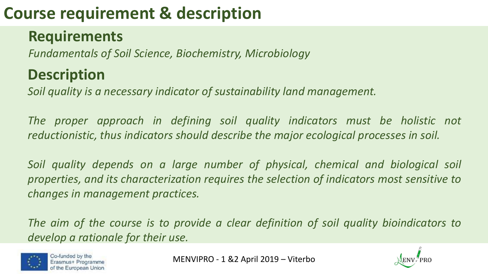# **Course requirement & description**

### **Requirements**

*Fundamentals of Soil Science, Biochemistry, Microbiology* 

### **Description**

*Soil quality is a necessary indicator of sustainability land management.*

*The proper approach in defining soil quality indicators must be holistic not reductionistic, thus indicators should describe the major ecological processes in soil.*

*Soil quality depends on a large number of physical, chemical and biological soil properties, and its characterization requires the selection of indicators most sensitive to changes in management practices.*

*The aim of the course is to provide a clear definition of soil quality bioindicators to develop a rationale for their use.*



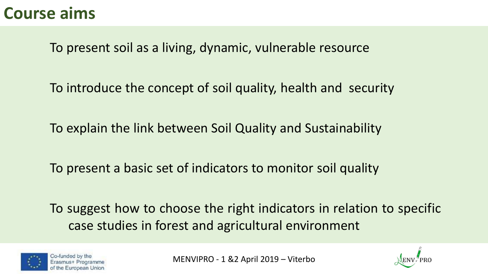### **Course aims**

To present soil as a living, dynamic, vulnerable resource

To introduce the concept of soil quality, health and security

To explain the link between Soil Quality and Sustainability

To present a basic set of indicators to monitor soil quality

To suggest how to choose the right indicators in relation to specific case studies in forest and agricultural environment



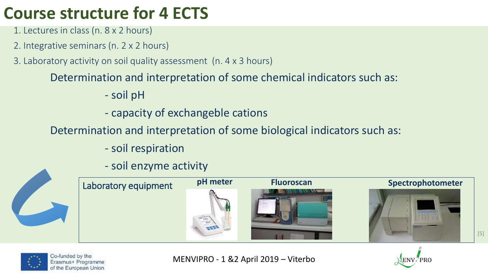## **Course structure for 4 ECTS**

- 1. Lectures in class (n. 8 x 2 hours)
- 2. Integrative seminars (n. 2 x 2 hours)
- 3. Laboratory activity on soil quality assessment (n. 4 x 3 hours)

### Determination and interpretation of some chemical indicators such as:

- soil pH
- capacity of exchangeble cations

### Determination and interpretation of some biological indicators such as:

- soil respiration
- soil enzyme activity





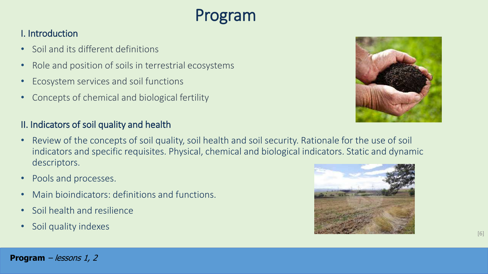## Program

#### I. Introduction

- Soil and its different definitions
- Role and position of soils in terrestrial ecosystems
- Ecosystem services and soil functions
- Concepts of chemical and biological fertility

#### II. Indicators of soil quality and health

- Review of the concepts of soil quality, soil health and soil security. Rationale for the use of soil indicators and specific requisites. Physical, chemical and biological indicators. Static and dynamic descriptors.
- Pools and processes.
- Main bioindicators: definitions and functions.
- Soil health and resilience
- Soil quality indexes



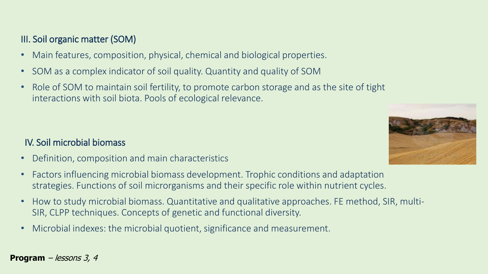#### III. Soil organic matter (SOM)

- Main features, composition, physical, chemical and biological properties.
- SOM as a complex indicator of soil quality. Quantity and quality of SOM
- Role of SOM to maintain soil fertility, to promote carbon storage and as the site of tight interactions with soil biota. Pools of ecological relevance.



- Definition, composition and main characteristics
- Factors influencing microbial biomass development. Trophic conditions and adaptation strategies. Functions of soil microrganisms and their specific role within nutrient cycles.
- How to study microbial biomass. Quantitative and qualitative approaches. FE method, SIR, multi-SIR, CLPP techniques. Concepts of genetic and functional diversity.
- Microbial indexes: the microbial quotient, significance and measurement.



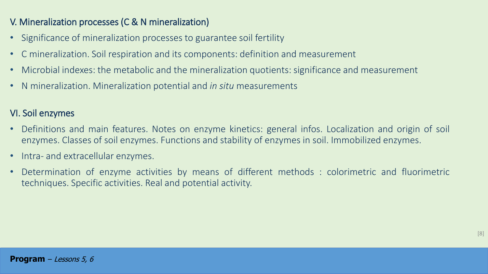#### V. Mineralization processes (C & N mineralization)

- Significance of mineralization processes to guarantee soil fertility
- C mineralization. Soil respiration and its components: definition and measurement
- Microbial indexes: the metabolic and the mineralization quotients: significance and measurement
- N mineralization. Mineralization potential and *in situ* measurements

#### VI. Soil enzymes

- Definitions and main features. Notes on enzyme kinetics: general infos. Localization and origin of soil enzymes. Classes of soil enzymes. Functions and stability of enzymes in soil. Immobilized enzymes.
- Intra- and extracellular enzymes.
- Determination of enzyme activities by means of different methods : colorimetric and fluorimetric techniques. Specific activities. Real and potential activity.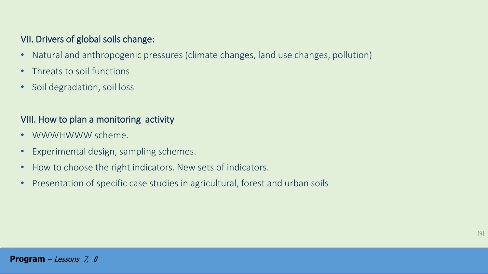#### VII. Drivers of global soils change:

- Natural and anthropogenic pressures (climate changes, land use changes, pollution)
- Threats to soil functions
- Soil degradation, soil loss

#### VIII. How to plan a monitoring activity

- WWWHWWW scheme.
- Experimental design, sampling schemes.
- How to choose the right indicators. New sets of indicators.
- Presentation of specific case studies in agricultural, forest and urban soils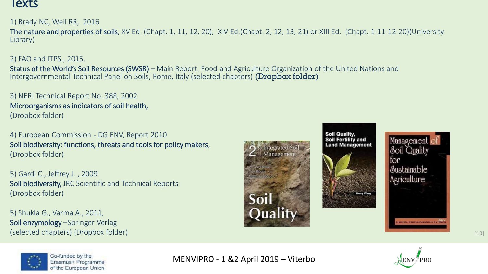#### lexts

1) Brady NC, Weil RR, 2016

The nature and properties of soils, XV Ed. (Chapt. 1, 11, 12, 20), XIV Ed.(Chapt. 2, 12, 13, 21) or XIII Ed. (Chapt. 1-11-12-20)(University Library)

#### 2) FAO and ITPS., 2015.

Status of the World's Soil Resources (SWSR) – Main Report. Food and Agriculture Organization of the United Nations and Intergovernmental Technical Panel on Soils, Rome, Italy (selected chapters) (Dropbox folder)

3) NERI Technical Report No. 388, 2002 Microorganisms as indicators of soil health, (Dropbox folder)

4) European Commission - DG ENV, Report 2010 Soil biodiversity: functions, threats and tools for policy makers, (Dropbox folder)

5) Gardi C., Jeffrey J. , 2009 Soil biodiversity, JRC Scientific and Technical Reports (Dropbox folder)

5) Shukla G., Varma A., 2011, Soil enzymology –Springer Verlag (selected chapters) (Dropbox folder) and the contract of the contract of the contract of the contract of the contract of the contract of the contract of the contract of the contract of the contract of the contract of the c









Co-funded by the Erasmus+ Programme of the European Union